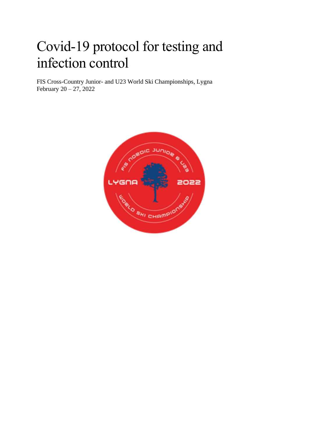# Covid-19 protocol for testing and infection control

FIS Cross-Country Junior- and U23 World Ski Championships, Lygna February 20 – 27, 2022

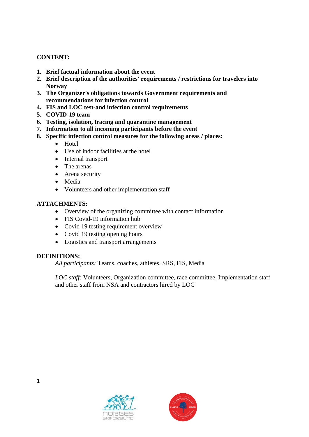### **CONTENT:**

- **1. Brief factual information about the event**
- **2. Brief description of the authorities' requirements / restrictions for travelers into Norway**
- **3. The Organizer's obligations towards Government requirements and recommendations for infection control**
- **4. FIS and LOC test-and infection control requirements**
- **5. COVID-19 team**
- **6. Testing, isolation, tracing and quarantine management**
- **7. Information to all incoming participants before the event**
- **8. Specific infection control measures for the following areas / places:**
	- Hotel
	- Use of indoor facilities at the hotel
	- Internal transport
	- The arenas
	- Arena security
	- Media
	- Volunteers and other implementation staff

### **ATTACHMENTS:**

- Overview of the organizing committee with contact information
- FIS Covid-19 information hub
- Covid 19 testing requirement overview
- Covid 19 testing opening hours
- Logistics and transport arrangements

#### **DEFINITIONS:**

*All participants:* Teams, coaches, athletes, SRS, FIS, Media

*LOC staff:* Volunteers, Organization committee, race committee, Implementation staff and other staff from NSA and contractors hired by LOC



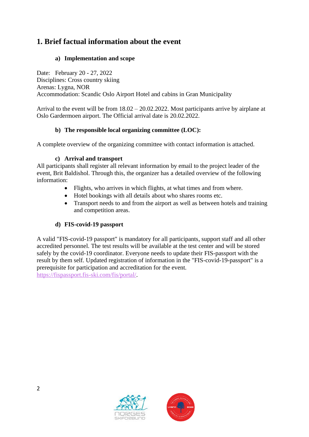# **1. Brief factual information about the event**

### **a) Implementation and scope**

Date: February 20 - 27, 2022 Disciplines: Cross country skiing Arenas: Lygna, NOR Accommodation: Scandic Oslo Airport Hotel and cabins in Gran Municipality

Arrival to the event will be from 18.02 – 20.02.2022. Most participants arrive by airplane at Oslo Gardermoen airport. The Official arrival date is 20.02.2022.

### **b) The responsible local organizing committee (LOC):**

A complete overview of the organizing committee with contact information is attached.

### **c) Arrival and transport**

All participants shall register all relevant information by email to the project leader of the event, Brit Baldishol. Through this, the organizer has a detailed overview of the following information:

- Flights, who arrives in which flights, at what times and from where.
- Hotel bookings with all details about who shares rooms etc.
- Transport needs to and from the airport as well as between hotels and training and competition areas.

### **d) FIS-covid-19 passport**

A valid "FIS-covid-19 passport" is mandatory for all participants, support staff and all other accredited personnel. The test results will be available at the test center and will be stored safely by the covid-19 coordinator. Everyone needs to update their FIS-passport with the result by them self. Updated registration of information in the "FIS-covid-19-passport" is a prerequisite for participation and accreditation for the event. [https://fispassport.fis-ski.com/fis/portal/.](https://fispassport.fis-ski.com/fis/portal/)

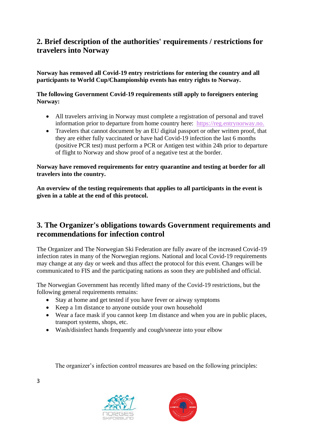# **2. Brief description of the authorities' requirements / restrictions for travelers into Norway**

**Norway has removed all Covid-19 entry restrictions for entering the country and all participants to World Cup/Championship events has entry rights to Norway.**

### **The following Government Covid-19 requirements still apply to foreigners entering Norway:**

- All travelers arriving in Norway must complete a registration of personal and travel information prior to departure from home country here: [https://reg.entrynorway.no.](https://reg.entrynorway.no/)
- Travelers that cannot document by an EU digital passport or other written proof, that they are either fully vaccinated or have had Covid-19 infection the last 6 months (positive PCR test) must perform a PCR or Antigen test within 24h prior to departure of flight to Norway and show proof of a negative test at the border.

### **Norway have removed requirements for entry quarantine and testing at border for all travelers into the country.**

**An overview of the testing requirements that applies to all participants in the event is given in a table at the end of this protocol.**

## **3. The Organizer's obligations towards Government requirements and recommendations for infection control**

The Organizer and The Norwegian Ski Federation are fully aware of the increased Covid-19 infection rates in many of the Norwegian regions. National and local Covid-19 requirements may change at any day or week and thus affect the protocol for this event. Changes will be communicated to FIS and the participating nations as soon they are published and official.

The Norwegian Government has recently lifted many of the Covid-19 restrictions, but the following general requirements remains:

- Stay at home and get tested if you have fever or airway symptoms
- Keep a 1m distance to anyone outside your own household
- Wear a face mask if you cannot keep 1m distance and when you are in public places, transport systems, shops, etc.
- Wash/disinfect hands frequently and cough/sneeze into your elbow

The organizer's infection control measures are based on the following principles:





3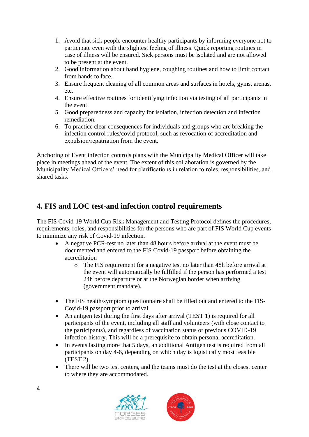- 1. Avoid that sick people encounter healthy participants by informing everyone not to participate even with the slightest feeling of illness. Quick reporting routines in case of illness will be ensured. Sick persons must be isolated and are not allowed to be present at the event.
- 2. Good information about hand hygiene, coughing routines and how to limit contact from hands to face.
- 3. Ensure frequent cleaning of all common areas and surfaces in hotels, gyms, arenas, etc.
- 4. Ensure effective routines for identifying infection via testing of all participants in the event
- 5. Good preparedness and capacity for isolation, infection detection and infection remediation.
- 6. To practice clear consequences for individuals and groups who are breaking the infection control rules/covid protocol, such as revocation of accreditation and expulsion/repatriation from the event.

Anchoring of Event infection controls plans with the Municipality Medical Officer will take place in meetings ahead of the event. The extent of this collaboration is governed by the Municipality Medical Officers' need for clarifications in relation to roles, responsibilities, and shared tasks.

## **4. FIS and LOC test-and infection control requirements**

The FIS Covid-19 World Cup Risk Management and Testing Protocol defines the procedures, requirements, roles, and responsibilities for the persons who are part of FIS World Cup events to minimize any risk of Covid-19 infection.

- A negative PCR-test no later than 48 hours before arrival at the event must be documented and entered to the FIS Covid-19 passport before obtaining the accreditation
	- o The FIS requirement for a negative test no later than 48h before arrival at the event will automatically be fulfilled if the person has performed a test 24h before departure or at the Norwegian border when arriving (government mandate).
- The FIS health/symptom questionnaire shall be filled out and entered to the FIS-Covid-19 passport prior to arrival
- An antigen test during the first days after arrival (TEST 1) is required for all participants of the event, including all staff and volunteers (with close contact to the participants), and regardless of vaccination status or previous COVID-19 infection history. This will be a prerequisite to obtain personal accreditation.
- In events lasting more that 5 days, an additional Antigen test is required from all participants on day 4-6, depending on which day is logistically most feasible (TEST 2).
- There will be two test centers, and the teams must do the test at the closest center to where they are accommodated.



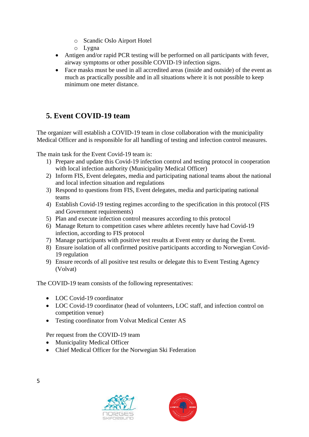- o Scandic Oslo Airport Hotel
- o Lygna
- Antigen and/or rapid PCR testing will be performed on all participants with fever, airway symptoms or other possible COVID-19 infection signs.
- Face masks must be used in all accredited areas (inside and outside) of the event as much as practically possible and in all situations where it is not possible to keep minimum one meter distance.

# **5. Event COVID-19 team**

The organizer will establish a COVID-19 team in close collaboration with the municipality Medical Officer and is responsible for all handling of testing and infection control measures.

The main task for the Event Covid-19 team is:

- 1) Prepare and update this Covid-19 infection control and testing protocol in cooperation with local infection authority (Municipality Medical Officer)
- 2) Inform FIS, Event delegates, media and participating national teams about the national and local infection situation and regulations
- 3) Respond to questions from FIS, Event delegates, media and participating national teams
- 4) Establish Covid-19 testing regimes according to the specification in this protocol (FIS and Government requirements)
- 5) Plan and execute infection control measures according to this protocol
- 6) Manage Return to competition cases where athletes recently have had Covid-19 infection, according to FIS protocol
- 7) Manage participants with positive test results at Event entry or during the Event.
- 8) Ensure isolation of all confirmed positive participants according to Norwegian Covid-19 regulation
- 9) Ensure records of all positive test results or delegate this to Event Testing Agency (Volvat)

The COVID-19 team consists of the following representatives:

- LOC Covid-19 coordinator
- LOC Covid-19 coordinator (head of volunteers, LOC staff, and infection control on competition venue)
- Testing coordinator from Volvat Medical Center AS

Per request from the COVID-19 team

- Municipality Medical Officer
- Chief Medical Officer for the Norwegian Ski Federation



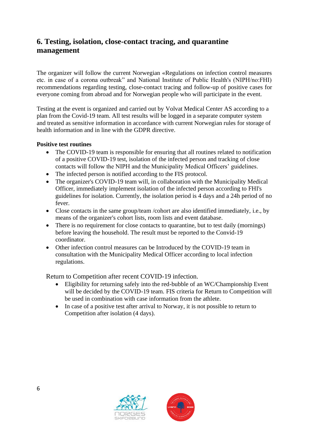# **6. Testing, isolation, close-contact tracing, and quarantine management**

The organizer will follow the current Norwegian «Regulations on infection control measures etc. in case of a corona outbreak" and National Institute of Public Health's (NIPH/no:FHI) recommendations regarding testing, close-contact tracing and follow-up of positive cases for everyone coming from abroad and for Norwegian people who will participate in the event.

Testing at the event is organized and carried out by Volvat Medical Center AS according to a plan from the Covid-19 team. All test results will be logged in a separate computer system and treated as sensitive information in accordance with current Norwegian rules for storage of health information and in line with the GDPR directive.

#### **Positive test routines**

- The COVID-19 team is responsible for ensuring that all routines related to notification of a positive COVID-19 test, isolation of the infected person and tracking of close contacts will follow the NIPH and the Municipality Medical Officers' guidelines.
- The infected person is notified according to the FIS protocol.
- The organizer's COVID-19 team will, in collaboration with the Municipality Medical Officer, immediately implement isolation of the infected person according to FHI's guidelines for isolation. Currently, the isolation period is 4 days and a 24h period of no fever.
- Close contacts in the same group/team /cohort are also identified immediately, i.e., by means of the organizer's cohort lists, room lists and event database.
- There is no requirement for close contacts to quarantine, but to test daily (mornings) before leaving the household. The result must be reported to the Convid-19 coordinator.
- Other infection control measures can be Introduced by the COVID-19 team in consultation with the Municipality Medical Officer according to local infection regulations.

Return to Competition after recent COVID-19 infection.

- Eligibility for returning safely into the red-bubble of an WC/Championship Event will be decided by the COVID-19 team. FIS criteria for Return to Competition will be used in combination with case information from the athlete.
- In case of a positive test after arrival to Norway, it is not possible to return to Competition after isolation (4 days).



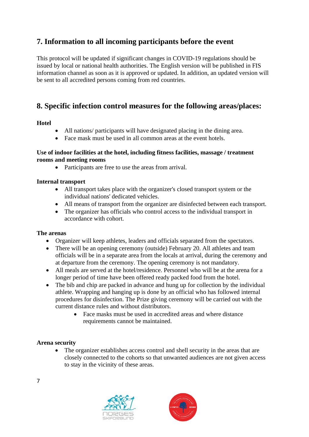# **7. Information to all incoming participants before the event**

This protocol will be updated if significant changes in COVID-19 regulations should be issued by local or national health authorities. The English version will be published in FIS information channel as soon as it is approved or updated. In addition, an updated version will be sent to all accredited persons coming from red countries.

# **8. Specific infection control measures for the following areas/places:**

### **Hotel**

- All nations/ participants will have designated placing in the dining area.
- Face mask must be used in all common areas at the event hotels.

#### **Use of indoor facilities at the hotel, including fitness facilities, massage / treatment rooms and meeting rooms**

• Participants are free to use the areas from arrival.

### **Internal transport**

- All transport takes place with the organizer's closed transport system or the individual nations' dedicated vehicles.
- All means of transport from the organizer are disinfected between each transport.
- The organizer has officials who control access to the individual transport in accordance with cohort.

#### **The arenas**

- Organizer will keep athletes, leaders and officials separated from the spectators.
- There will be an opening ceremony (outside) February 20. All athletes and team officials will be in a separate area from the locals at arrival, during the ceremony and at departure from the ceremony. The opening ceremony is not mandatory.
- All meals are served at the hotel/residence. Personnel who will be at the arena for a longer period of time have been offered ready packed food from the hotel.
- The bib and chip are packed in advance and hung up for collection by the individual athlete. Wrapping and hanging up is done by an official who has followed internal procedures for disinfection. The Prize giving ceremony will be carried out with the current distance rules and without distributors.
	- Face masks must be used in accredited areas and where distance requirements cannot be maintained.

#### **Arena security**

• The organizer establishes access control and shell security in the areas that are closely connected to the cohorts so that unwanted audiences are not given access to stay in the vicinity of these areas.





7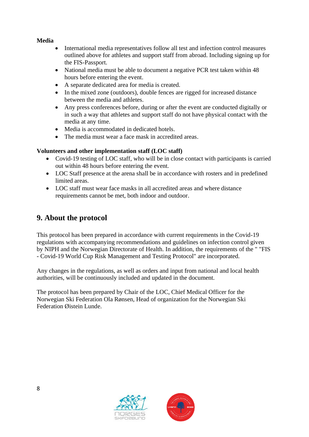### **Media**

- International media representatives follow all test and infection control measures outlined above for athletes and support staff from abroad. Including signing up for the FIS-Passport.
- National media must be able to document a negative PCR test taken within 48 hours before entering the event.
- A separate dedicated area for media is created.
- In the mixed zone (outdoors), double fences are rigged for increased distance between the media and athletes.
- Any press conferences before, during or after the event are conducted digitally or in such a way that athletes and support staff do not have physical contact with the media at any time.
- Media is accommodated in dedicated hotels.
- The media must wear a face mask in accredited areas.

### **Volunteers and other implementation staff (LOC staff)**

- Covid-19 testing of LOC staff, who will be in close contact with participants is carried out within 48 hours before entering the event.
- LOC Staff presence at the arena shall be in accordance with rosters and in predefined limited areas.
- LOC staff must wear face masks in all accredited areas and where distance requirements cannot be met, both indoor and outdoor.

# **9. About the protocol**

This protocol has been prepared in accordance with current requirements in the Covid-19 regulations with accompanying recommendations and guidelines on infection control given by NIPH and the Norwegian Directorate of Health. In addition, the requirements of the " "FIS - Covid-19 World Cup Risk Management and Testing Protocol" are incorporated.

Any changes in the regulations, as well as orders and input from national and local health authorities, will be continuously included and updated in the document.

The protocol has been prepared by Chair of the LOC, Chief Medical Officer for the Norwegian Ski Federation Ola Rønsen, Head of organization for the Norwegian Ski Federation Øistein Lunde.



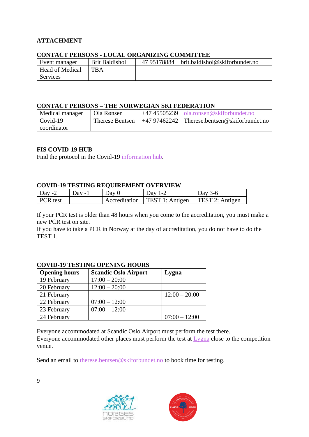### **ATTACHMENT**

| <u> CONTROL I BIWONO - BOCAB OINGANIZHNO COMMITTEB</u> |                |              |                                        |  |  |  |  |
|--------------------------------------------------------|----------------|--------------|----------------------------------------|--|--|--|--|
| Event manager                                          | Brit Baldishol | +47 95178884 | $\vert$ brit.baldishol@skiforbundet.no |  |  |  |  |
| <b>Head of Medical</b>                                 | <b>TBA</b>     |              |                                        |  |  |  |  |
| Services                                               |                |              |                                        |  |  |  |  |

### **CONTACT PERSONS - LOCAL ORGANIZING COMMITTEE**

### **CONTACT PERSONS – THE NORWEGIAN SKI FEDERATION**

| Medical manager | Ola Rønsen      | $+4745505239$   ola.ronsen@skiforbundet.no    |
|-----------------|-----------------|-----------------------------------------------|
| $Covid-19$      | Therese Bentsen | $+4797462242$ Therese.bentsen@skiforbundet.no |
| coordinator     |                 |                                               |

#### **FIS COVID-19 HUB**

Find the protocol in the Covid-19 [information hub.](https://www.fis-ski.com/en/inside-fis/covid-19-hub)

#### **COVID-19 TESTING REQUIREMENT OVERVIEW**

| $\vert$ Day -2  | Dav - I | Day 0 | Dav 1-2                                   | Day $3-6$                    |
|-----------------|---------|-------|-------------------------------------------|------------------------------|
| <b>PCR</b> test |         |       | $\triangle$ Accreditation TEST 1: Antigen | $\therefore$ TEST 2: Antigen |

If your PCR test is older than 48 hours when you come to the accreditation, you must make a new PCR test on site.

If you have to take a PCR in Norway at the day of accreditation, you do not have to do the TEST 1.

### **COVID-19 TESTING OPENING HOURS**

| <b>Opening hours</b> | <b>Scandic Oslo Airport</b> | Lygna           |
|----------------------|-----------------------------|-----------------|
| 19 February          | $17:00 - 20:00$             |                 |
| 20 February          | $12:00 - 20:00$             |                 |
| 21 February          |                             | $12:00 - 20:00$ |
| 22 February          | $07:00 - 12:00$             |                 |
| 23 February          | $07:00 - 12:00$             |                 |
| 24 February          |                             | $07:00 - 12:00$ |

Everyone accommodated at Scandic Oslo Airport must perform the test there. Everyone accommodated other places must perform the test at [Lygna](https://www.google.com/maps/place/Lygna+Camp+Aksjeselskap/@60.4550656,10.642292,17z/data=!3m1!4b1!4m5!3m4!1s0x4641b94941f74edb:0x85edce495ed76148!8m2!3d60.4550656!4d10.6444807) close to the competition venue.

Send an email to [therese.bentsen@skiforbundet.no](mailto:therese.bentsen@skiforbundet.no) to book time for testing.